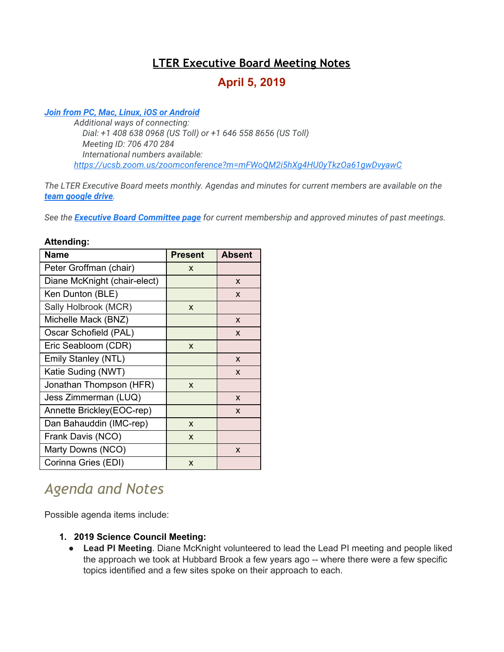## **LTER Executive Board Meeting Notes**

## **April 5, 2019**

#### *[Join from PC, Mac, Linux, iOS or Android](https://ucsb.zoom.us/j/706470284)*

*Additional ways of connecting: Dial: +1 408 638 0968 (US Toll) or +1 646 558 8656 (US Toll) Meeting ID: 706 470 284 International numbers available: <https://ucsb.zoom.us/zoomconference?m=mFWoQM2i5hXg4HU0yTkzOa61gwDvyawC>*

*The LTER Executive Board meets monthly. Agendas and minutes for current members are available on the [team google drive](https://drive.google.com/drive/folders/0AKaWwJjxt2VMUk9PVA).*

*See the [Executive Board Committee page](https://lternet.edu/committees/executive-board/) for current membership and approved minutes of past meetings.*

#### **Attending:**

| Name                         | <b>Present</b> | <b>Absent</b> |
|------------------------------|----------------|---------------|
| Peter Groffman (chair)       | X              |               |
| Diane McKnight (chair-elect) |                | X             |
| Ken Dunton (BLE)             |                | X             |
| Sally Holbrook (MCR)         | X              |               |
| Michelle Mack (BNZ)          |                | X             |
| Oscar Schofield (PAL)        |                | X             |
| Eric Seabloom (CDR)          | X              |               |
| Emily Stanley (NTL)          |                | X             |
| Katie Suding (NWT)           |                | X             |
| Jonathan Thompson (HFR)      | X              |               |
| Jess Zimmerman (LUQ)         |                | X             |
| Annette Brickley(EOC-rep)    |                | X             |
| Dan Bahauddin (IMC-rep)      | X              |               |
| Frank Davis (NCO)            | X              |               |
| Marty Downs (NCO)            |                | X             |
| Corinna Gries (EDI)          | X              |               |

# *Agenda and Notes*

Possible agenda items include:

- **1. 2019 Science Council Meeting:**
	- **Lead PI Meeting**. Diane McKnight volunteered to lead the Lead PI meeting and people liked the approach we took at Hubbard Brook a few years ago -- where there were a few specific topics identified and a few sites spoke on their approach to each.